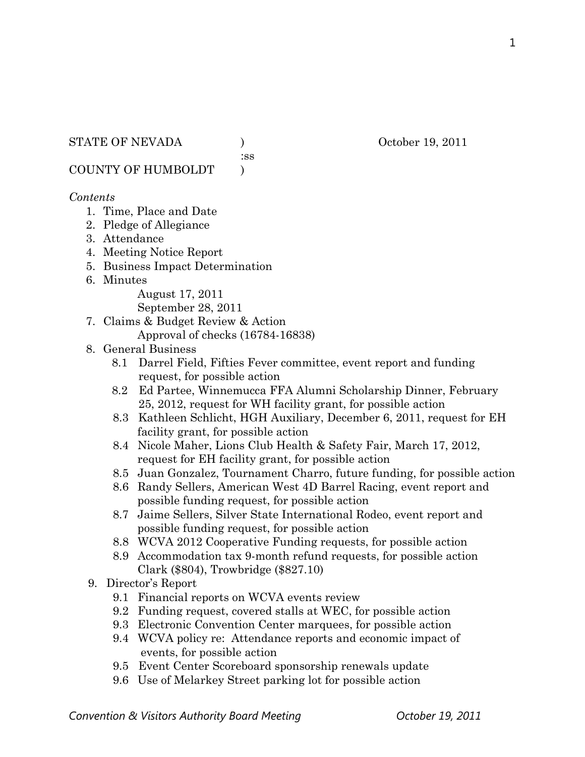:ss

COUNTY OF HUMBOLDT )

#### *Contents*

- 1. Time, Place and Date
- 2. Pledge of Allegiance
- 3. Attendance
- 4. Meeting Notice Report
- 5. Business Impact Determination
- 6. Minutes

August 17, 2011 September 28, 2011

- 7. Claims & Budget Review & Action
	- Approval of checks (16784-16838)
- 8. General Business
	- 8.1 Darrel Field, Fifties Fever committee, event report and funding request, for possible action
	- 8.2 Ed Partee, Winnemucca FFA Alumni Scholarship Dinner, February 25, 2012, request for WH facility grant, for possible action
	- 8.3 Kathleen Schlicht, HGH Auxiliary, December 6, 2011, request for EH facility grant, for possible action
	- 8.4 Nicole Maher, Lions Club Health & Safety Fair, March 17, 2012, request for EH facility grant, for possible action
	- 8.5 Juan Gonzalez, Tournament Charro, future funding, for possible action
	- 8.6 Randy Sellers, American West 4D Barrel Racing, event report and possible funding request, for possible action
	- 8.7 Jaime Sellers, Silver State International Rodeo, event report and possible funding request, for possible action
	- 8.8 WCVA 2012 Cooperative Funding requests, for possible action
	- 8.9 Accommodation tax 9-month refund requests, for possible action Clark (\$804), Trowbridge (\$827.10)
- 9. Director's Report
	- 9.1 Financial reports on WCVA events review
	- 9.2 Funding request, covered stalls at WEC, for possible action
	- 9.3 Electronic Convention Center marquees, for possible action
	- 9.4 WCVA policy re: Attendance reports and economic impact of events, for possible action
	- 9.5 Event Center Scoreboard sponsorship renewals update
	- 9.6 Use of Melarkey Street parking lot for possible action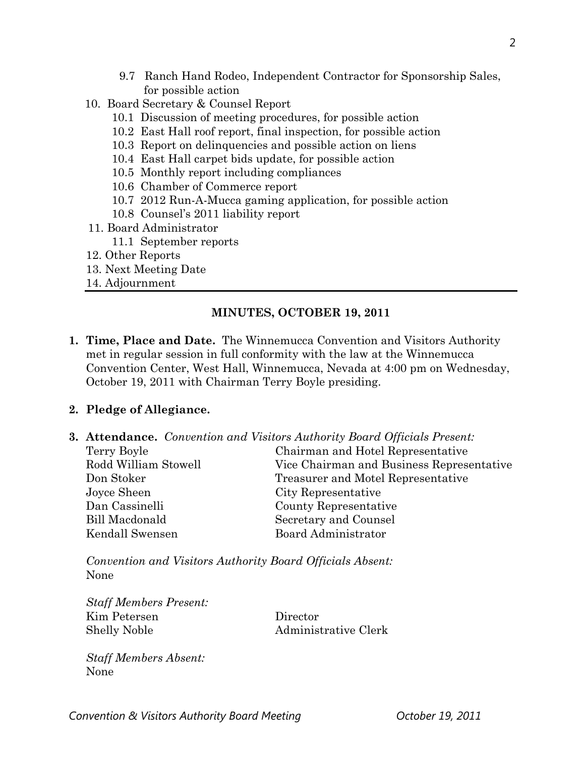- 9.7 Ranch Hand Rodeo, Independent Contractor for Sponsorship Sales, for possible action
- 10. Board Secretary & Counsel Report
	- 10.1 Discussion of meeting procedures, for possible action
	- 10.2 East Hall roof report, final inspection, for possible action
	- 10.3 Report on delinquencies and possible action on liens
	- 10.4 East Hall carpet bids update, for possible action
	- 10.5 Monthly report including compliances
	- 10.6 Chamber of Commerce report
	- 10.7 2012 Run-A-Mucca gaming application, for possible action
	- 10.8 Counsel's 2011 liability report
- 11. Board Administrator
	- 11.1 September reports
- 12. Other Reports
- 13. Next Meeting Date
- 14. Adjournment

# **MINUTES, OCTOBER 19, 2011**

**1. Time, Place and Date.** The Winnemucca Convention and Visitors Authority met in regular session in full conformity with the law at the Winnemucca Convention Center, West Hall, Winnemucca, Nevada at 4:00 pm on Wednesday, October 19, 2011 with Chairman Terry Boyle presiding.

## **2. Pledge of Allegiance.**

**3. Attendance.** *Convention and Visitors Authority Board Officials Present:* 

| Terry Boyle          | Chairman and Hotel Representative         |  |
|----------------------|-------------------------------------------|--|
| Rodd William Stowell | Vice Chairman and Business Representative |  |
| Don Stoker           | Treasurer and Motel Representative        |  |
| Joyce Sheen          | City Representative                       |  |
| Dan Cassinelli       | County Representative                     |  |
| Bill Macdonald       | Secretary and Counsel                     |  |
| Kendall Swensen      | Board Administrator                       |  |
|                      |                                           |  |

*Convention and Visitors Authority Board Officials Absent:*  None

*Staff Members Present:*  Kim Petersen Director Shelly Noble Administrative Clerk

*Staff Members Absent:*  None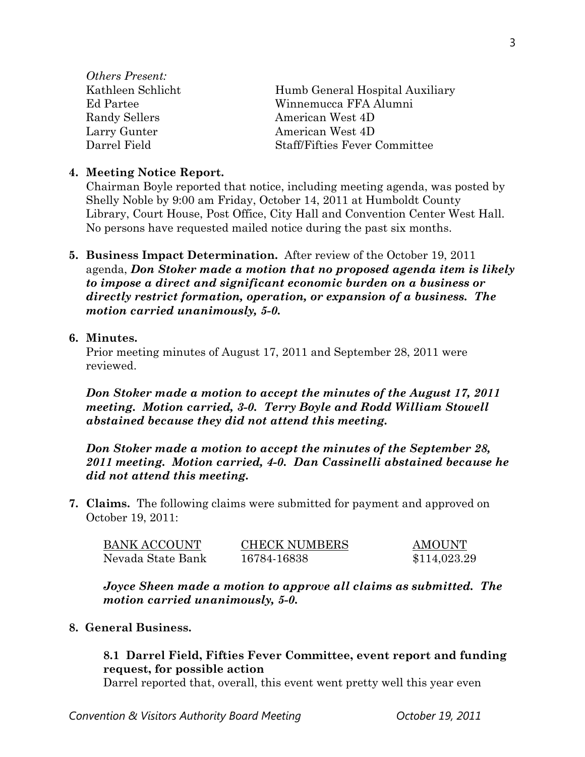*Others Present:*  Kathleen Schlicht Humb General Hospital Auxiliary Ed Partee Winnemucca FFA Alumni Randy Sellers **American West 4D** Larry Gunter **American West 4D** Darrel Field Staff/Fifties Fever Committee

#### **4. Meeting Notice Report.**

Chairman Boyle reported that notice, including meeting agenda, was posted by Shelly Noble by 9:00 am Friday, October 14, 2011 at Humboldt County Library, Court House, Post Office, City Hall and Convention Center West Hall. No persons have requested mailed notice during the past six months.

**5. Business Impact Determination.** After review of the October 19, 2011 agenda, *Don Stoker made a motion that no proposed agenda item is likely to impose a direct and significant economic burden on a business or directly restrict formation, operation, or expansion of a business. The motion carried unanimously, 5-0.*

#### **6. Minutes.**

Prior meeting minutes of August 17, 2011 and September 28, 2011 were reviewed.

*Don Stoker made a motion to accept the minutes of the August 17, 2011 meeting. Motion carried, 3-0. Terry Boyle and Rodd William Stowell abstained because they did not attend this meeting.* 

*Don Stoker made a motion to accept the minutes of the September 28, 2011 meeting. Motion carried, 4-0. Dan Cassinelli abstained because he did not attend this meeting.* 

**7. Claims.** The following claims were submitted for payment and approved on October 19, 2011:

| BANK ACCOUNT      | <b>CHECK NUMBERS</b> | AMOUNT       |
|-------------------|----------------------|--------------|
| Nevada State Bank | 16784-16838          | \$114,023.29 |

*Joyce Sheen made a motion to approve all claims as submitted. The motion carried unanimously, 5-0.* 

#### **8. General Business.**

#### **8.1 Darrel Field, Fifties Fever Committee, event report and funding request, for possible action**

Darrel reported that, overall, this event went pretty well this year even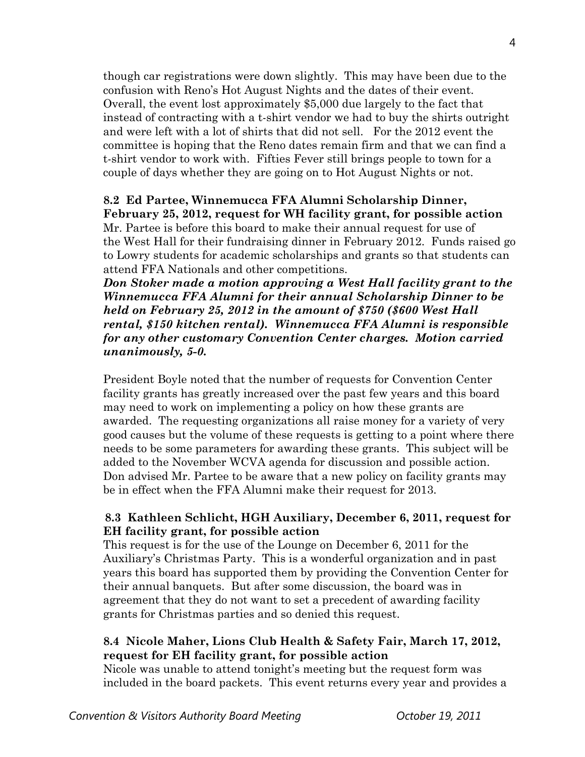though car registrations were down slightly. This may have been due to the confusion with Reno's Hot August Nights and the dates of their event. Overall, the event lost approximately \$5,000 due largely to the fact that instead of contracting with a t-shirt vendor we had to buy the shirts outright and were left with a lot of shirts that did not sell. For the 2012 event the committee is hoping that the Reno dates remain firm and that we can find a t-shirt vendor to work with. Fifties Fever still brings people to town for a couple of days whether they are going on to Hot August Nights or not.

# **8.2 Ed Partee, Winnemucca FFA Alumni Scholarship Dinner, February 25, 2012, request for WH facility grant, for possible action**

Mr. Partee is before this board to make their annual request for use of the West Hall for their fundraising dinner in February 2012. Funds raised go to Lowry students for academic scholarships and grants so that students can attend FFA Nationals and other competitions.

 *Don Stoker made a motion approving a West Hall facility grant to the Winnemucca FFA Alumni for their annual Scholarship Dinner to be held on February 25, 2012 in the amount of \$750 (\$600 West Hall rental, \$150 kitchen rental). Winnemucca FFA Alumni is responsible for any other customary Convention Center charges. Motion carried unanimously, 5-0.* 

President Boyle noted that the number of requests for Convention Center facility grants has greatly increased over the past few years and this board may need to work on implementing a policy on how these grants are awarded. The requesting organizations all raise money for a variety of very good causes but the volume of these requests is getting to a point where there needs to be some parameters for awarding these grants. This subject will be added to the November WCVA agenda for discussion and possible action. Don advised Mr. Partee to be aware that a new policy on facility grants may be in effect when the FFA Alumni make their request for 2013.

## **8.3 Kathleen Schlicht, HGH Auxiliary, December 6, 2011, request for EH facility grant, for possible action**

This request is for the use of the Lounge on December 6, 2011 for the Auxiliary's Christmas Party. This is a wonderful organization and in past years this board has supported them by providing the Convention Center for their annual banquets. But after some discussion, the board was in agreement that they do not want to set a precedent of awarding facility grants for Christmas parties and so denied this request.

# **8.4 Nicole Maher, Lions Club Health & Safety Fair, March 17, 2012, request for EH facility grant, for possible action**

Nicole was unable to attend tonight's meeting but the request form was included in the board packets. This event returns every year and provides a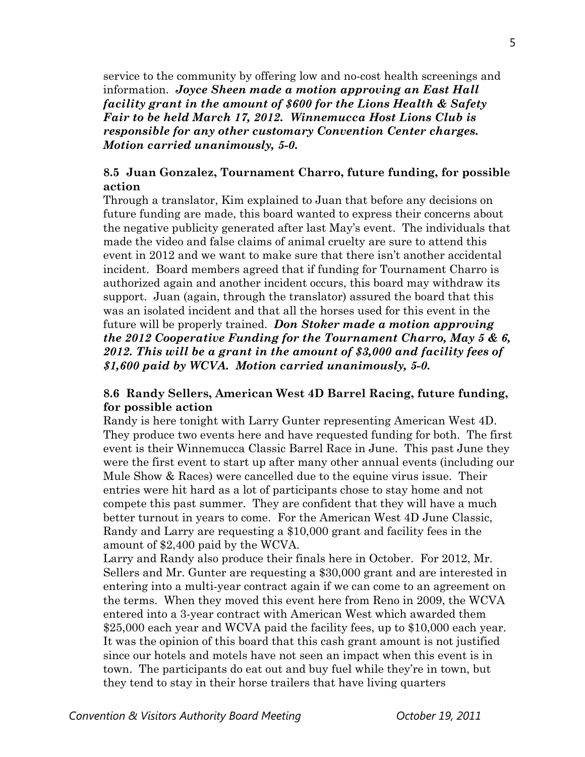service to the community by offering low and no-cost health screenings and information. *Joyce Sheen made a motion approving an East Hall facility grant in the amount of \$600 for the Lions Health & Safety Fair to be held March 17, 2012. Winnemucca Host Lions Club is responsible for any other customary Convention Center charges. Motion carried unanimously, 5-0.* 

#### **8.5 Juan Gonzalez, Tournament Charro, future funding, for possible action**

Through a translator, Kim explained to Juan that before any decisions on future funding are made, this board wanted to express their concerns about the negative publicity generated after last May's event. The individuals that made the video and false claims of animal cruelty are sure to attend this event in 2012 and we want to make sure that there isn't another accidental incident. Board members agreed that if funding for Tournament Charro is authorized again and another incident occurs, this board may withdraw its support. Juan (again, through the translator) assured the board that this was an isolated incident and that all the horses used for this event in the future will be properly trained. *Don Stoker made a motion approving the 2012 Cooperative Funding for the Tournament Charro, May 5 & 6, 2012. This will be a grant in the amount of \$3,000 and facility fees of \$1,600 paid by WCVA. Motion carried unanimously, 5-0.* 

#### **8.6 Randy Sellers, American West 4D Barrel Racing, future funding, for possible action**

Randy is here tonight with Larry Gunter representing American West 4D. They produce two events here and have requested funding for both. The first event is their Winnemucca Classic Barrel Race in June. This past June they were the first event to start up after many other annual events (including our Mule Show & Races) were cancelled due to the equine virus issue. Their entries were hit hard as a lot of participants chose to stay home and not compete this past summer. They are confident that they will have a much better turnout in years to come. For the American West 4D June Classic, Randy and Larry are requesting a \$10,000 grant and facility fees in the amount of \$2,400 paid by the WCVA.

Larry and Randy also produce their finals here in October. For 2012, Mr. Sellers and Mr. Gunter are requesting a \$30,000 grant and are interested in entering into a multi-year contract again if we can come to an agreement on the terms. When they moved this event here from Reno in 2009, the WCVA entered into a 3-year contract with American West which awarded them \$25,000 each year and WCVA paid the facility fees, up to \$10,000 each year. It was the opinion of this board that this cash grant amount is not justified since our hotels and motels have not seen an impact when this event is in town. The participants do eat out and buy fuel while they're in town, but they tend to stay in their horse trailers that have living quarters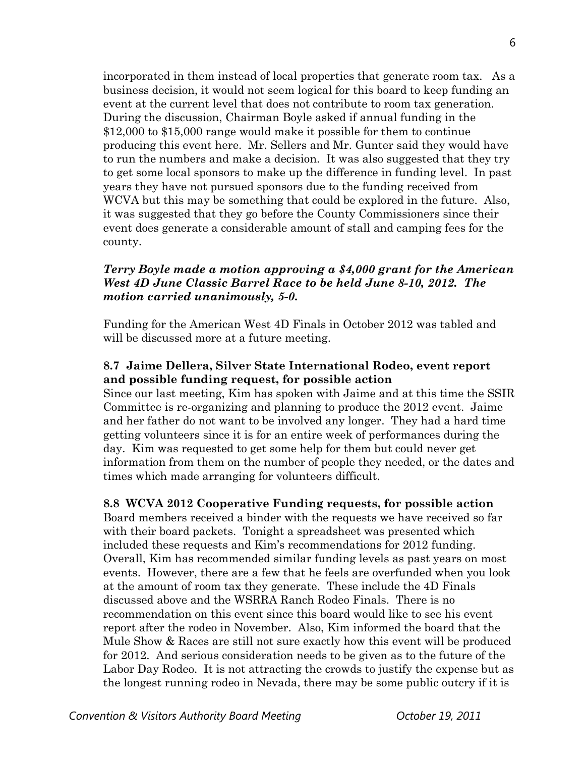incorporated in them instead of local properties that generate room tax. As a business decision, it would not seem logical for this board to keep funding an event at the current level that does not contribute to room tax generation. During the discussion, Chairman Boyle asked if annual funding in the \$12,000 to \$15,000 range would make it possible for them to continue producing this event here. Mr. Sellers and Mr. Gunter said they would have to run the numbers and make a decision. It was also suggested that they try to get some local sponsors to make up the difference in funding level. In past years they have not pursued sponsors due to the funding received from WCVA but this may be something that could be explored in the future. Also, it was suggested that they go before the County Commissioners since their event does generate a considerable amount of stall and camping fees for the county.

#### *Terry Boyle made a motion approving a \$4,000 grant for the American West 4D June Classic Barrel Race to be held June 8-10, 2012. The motion carried unanimously, 5-0.*

Funding for the American West 4D Finals in October 2012 was tabled and will be discussed more at a future meeting.

#### **8.7 Jaime Dellera, Silver State International Rodeo, event report and possible funding request, for possible action**

Since our last meeting, Kim has spoken with Jaime and at this time the SSIR Committee is re-organizing and planning to produce the 2012 event. Jaime and her father do not want to be involved any longer. They had a hard time getting volunteers since it is for an entire week of performances during the day. Kim was requested to get some help for them but could never get information from them on the number of people they needed, or the dates and times which made arranging for volunteers difficult.

#### **8.8 WCVA 2012 Cooperative Funding requests, for possible action**

Board members received a binder with the requests we have received so far with their board packets. Tonight a spreadsheet was presented which included these requests and Kim's recommendations for 2012 funding. Overall, Kim has recommended similar funding levels as past years on most events. However, there are a few that he feels are overfunded when you look at the amount of room tax they generate. These include the 4D Finals discussed above and the WSRRA Ranch Rodeo Finals. There is no recommendation on this event since this board would like to see his event report after the rodeo in November. Also, Kim informed the board that the Mule Show & Races are still not sure exactly how this event will be produced for 2012. And serious consideration needs to be given as to the future of the Labor Day Rodeo. It is not attracting the crowds to justify the expense but as the longest running rodeo in Nevada, there may be some public outcry if it is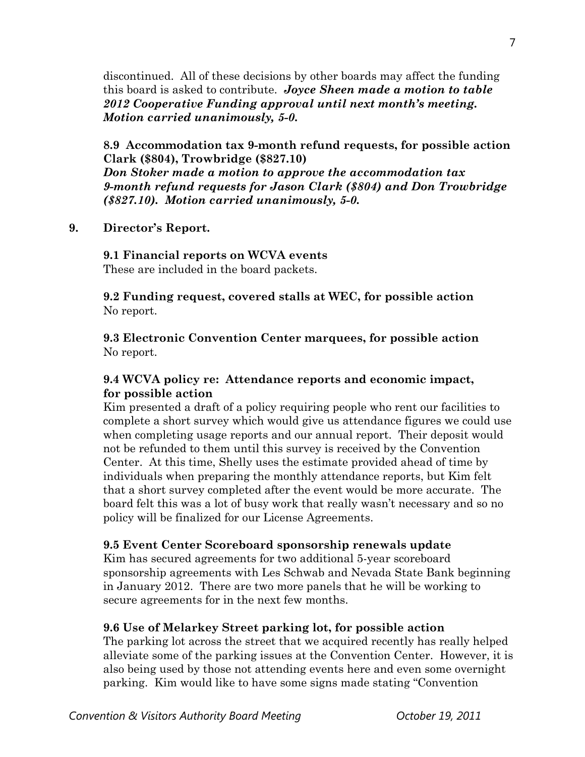discontinued. All of these decisions by other boards may affect the funding this board is asked to contribute. *Joyce Sheen made a motion to table 2012 Cooperative Funding approval until next month's meeting. Motion carried unanimously, 5-0.* 

**8.9 Accommodation tax 9-month refund requests, for possible action Clark (\$804), Trowbridge (\$827.10)** 

*Don Stoker made a motion to approve the accommodation tax 9-month refund requests for Jason Clark (\$804) and Don Trowbridge (\$827.10). Motion carried unanimously, 5-0.* 

**9. Director's Report.** 

**9.1 Financial reports on WCVA events** 

These are included in the board packets.

**9.2 Funding request, covered stalls at WEC, for possible action**  No report.

**9.3 Electronic Convention Center marquees, for possible action**  No report.

#### **9.4 WCVA policy re: Attendance reports and economic impact, for possible action**

Kim presented a draft of a policy requiring people who rent our facilities to complete a short survey which would give us attendance figures we could use when completing usage reports and our annual report. Their deposit would not be refunded to them until this survey is received by the Convention Center. At this time, Shelly uses the estimate provided ahead of time by individuals when preparing the monthly attendance reports, but Kim felt that a short survey completed after the event would be more accurate. The board felt this was a lot of busy work that really wasn't necessary and so no policy will be finalized for our License Agreements.

#### **9.5 Event Center Scoreboard sponsorship renewals update**

Kim has secured agreements for two additional 5-year scoreboard sponsorship agreements with Les Schwab and Nevada State Bank beginning in January 2012. There are two more panels that he will be working to secure agreements for in the next few months.

#### **9.6 Use of Melarkey Street parking lot, for possible action**

The parking lot across the street that we acquired recently has really helped alleviate some of the parking issues at the Convention Center. However, it is also being used by those not attending events here and even some overnight parking. Kim would like to have some signs made stating "Convention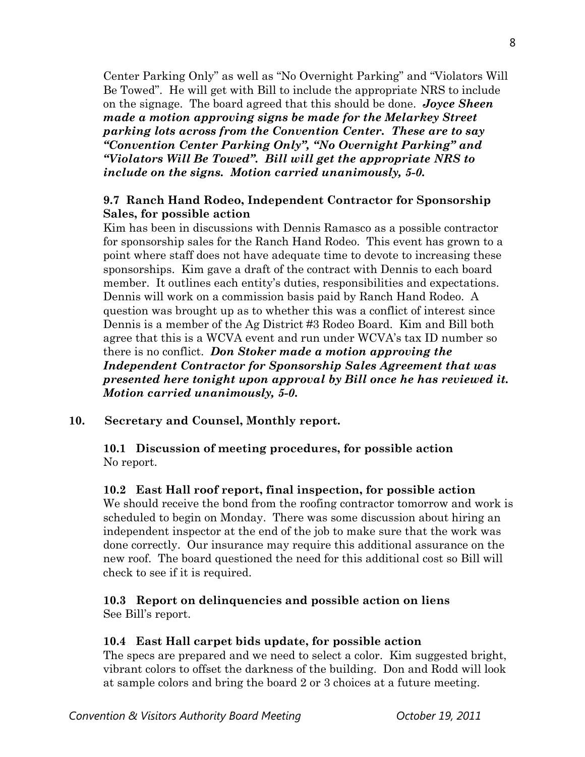Center Parking Only" as well as "No Overnight Parking" and "Violators Will Be Towed". He will get with Bill to include the appropriate NRS to include on the signage. The board agreed that this should be done. *Joyce Sheen made a motion approving signs be made for the Melarkey Street parking lots across from the Convention Center. These are to say "Convention Center Parking Only", "No Overnight Parking" and "Violators Will Be Towed". Bill will get the appropriate NRS to include on the signs. Motion carried unanimously, 5-0.* 

#### **9.7 Ranch Hand Rodeo, Independent Contractor for Sponsorship Sales, for possible action**

Kim has been in discussions with Dennis Ramasco as a possible contractor for sponsorship sales for the Ranch Hand Rodeo. This event has grown to a point where staff does not have adequate time to devote to increasing these sponsorships. Kim gave a draft of the contract with Dennis to each board member. It outlines each entity's duties, responsibilities and expectations. Dennis will work on a commission basis paid by Ranch Hand Rodeo. A question was brought up as to whether this was a conflict of interest since Dennis is a member of the Ag District #3 Rodeo Board. Kim and Bill both agree that this is a WCVA event and run under WCVA's tax ID number so there is no conflict. *Don Stoker made a motion approving the Independent Contractor for Sponsorship Sales Agreement that was presented here tonight upon approval by Bill once he has reviewed it. Motion carried unanimously, 5-0.* 

#### **10. Secretary and Counsel, Monthly report.**

#### **10.1 Discussion of meeting procedures, for possible action**  No report.

#### **10.2 East Hall roof report, final inspection, for possible action**

We should receive the bond from the roofing contractor tomorrow and work is scheduled to begin on Monday. There was some discussion about hiring an independent inspector at the end of the job to make sure that the work was done correctly. Our insurance may require this additional assurance on the new roof. The board questioned the need for this additional cost so Bill will check to see if it is required.

#### **10.3 Report on delinquencies and possible action on liens**  See Bill's report.

#### **10.4 East Hall carpet bids update, for possible action**

The specs are prepared and we need to select a color. Kim suggested bright, vibrant colors to offset the darkness of the building. Don and Rodd will look at sample colors and bring the board 2 or 3 choices at a future meeting.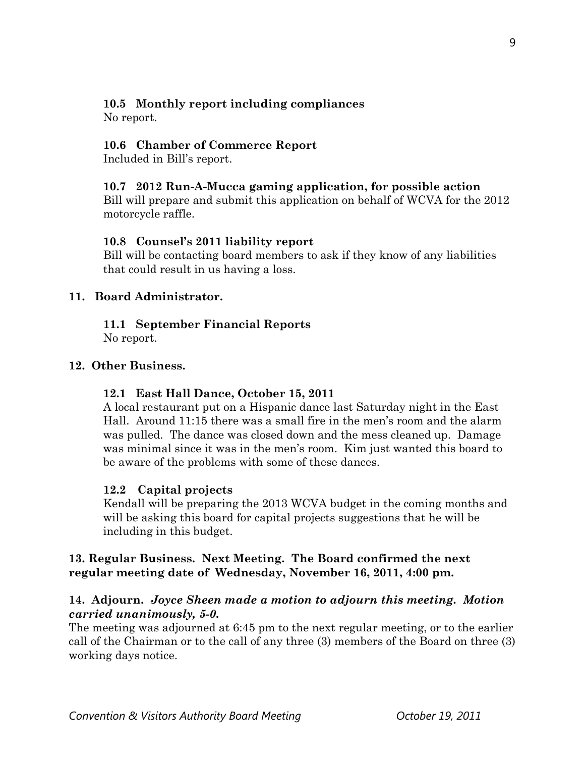# **10.5 Monthly report including compliances**

No report.

# **10.6 Chamber of Commerce Report**

Included in Bill's report.

## **10.7 2012 Run-A-Mucca gaming application, for possible action**

Bill will prepare and submit this application on behalf of WCVA for the 2012 motorcycle raffle.

# **10.8 Counsel's 2011 liability report**

Bill will be contacting board members to ask if they know of any liabilities that could result in us having a loss.

## **11. Board Administrator.**

# **11.1 September Financial Reports**

No report.

# **12. Other Business.**

## **12.1 East Hall Dance, October 15, 2011**

A local restaurant put on a Hispanic dance last Saturday night in the East Hall. Around 11:15 there was a small fire in the men's room and the alarm was pulled. The dance was closed down and the mess cleaned up. Damage was minimal since it was in the men's room. Kim just wanted this board to be aware of the problems with some of these dances.

## **12.2 Capital projects**

Kendall will be preparing the 2013 WCVA budget in the coming months and will be asking this board for capital projects suggestions that he will be including in this budget.

## **13. Regular Business. Next Meeting. The Board confirmed the next regular meeting date of Wednesday, November 16, 2011, 4:00 pm.**

# **14. Adjourn.** *Joyce Sheen made a motion to adjourn this meeting. Motion carried unanimously, 5-0.*

The meeting was adjourned at 6:45 pm to the next regular meeting, or to the earlier call of the Chairman or to the call of any three (3) members of the Board on three (3) working days notice.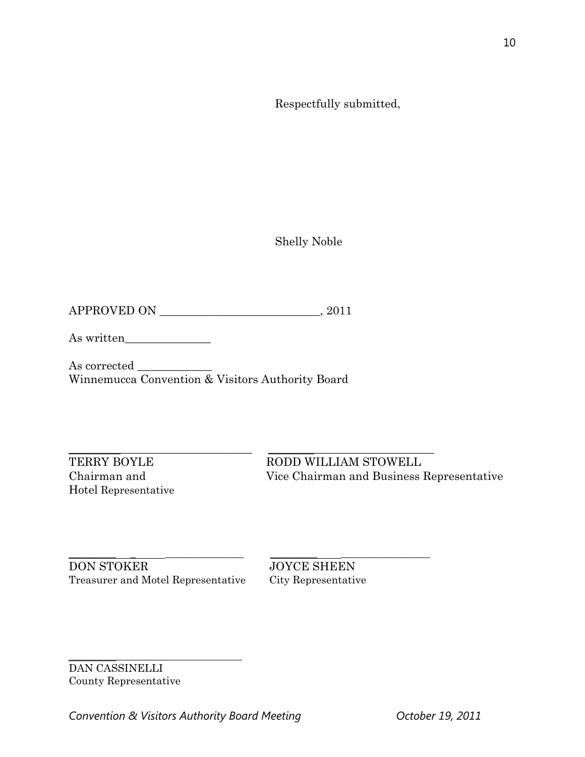Respectfully submitted,

Shelly Noble

APPROVED ON \_\_\_\_\_\_\_\_\_\_\_\_\_\_\_\_\_\_\_\_\_\_\_\_\_\_\_\_, 2011

As written\_\_\_\_\_\_\_\_\_\_\_\_\_\_\_

As corrected \_\_\_\_\_\_\_\_\_\_\_\_\_ Winnemucca Convention & Visitors Authority Board

Hotel Representative

 $\_$  ,  $\_$  ,  $\_$  ,  $\_$  ,  $\_$  ,  $\_$  ,  $\_$  ,  $\_$  ,  $\_$  ,  $\_$  ,  $\_$  ,  $\_$  ,  $\_$  ,  $\_$  ,  $\_$  ,  $\_$  ,  $\_$  ,  $\_$  ,  $\_$  ,  $\_$  ,  $\_$  ,  $\_$  ,  $\_$  ,  $\_$  ,  $\_$  ,  $\_$  ,  $\_$  ,  $\_$  ,  $\_$  ,  $\_$  ,  $\_$  ,  $\_$  ,  $\_$  ,  $\_$  ,  $\_$  ,  $\_$  ,  $\_$  , TERRY BOYLE RODD WILLIAM STOWELL Chairman and Vice Chairman and Business Representative

\_\_\_\_\_\_\_\_\_ \_ \_\_\_\_\_\_\_\_\_\_\_\_\_\_\_ \_\_\_\_\_\_\_\_\_ \_\_\_\_\_\_\_\_\_\_\_\_\_\_\_\_\_ DON STOKER JOYCE SHEEN<br>Treasurer and Motel Representative City Representative Treasurer and Motel Representative

\_\_\_\_\_\_\_\_\_\_\_\_\_\_\_\_\_\_\_\_\_\_\_\_\_\_\_\_\_\_\_\_\_ DAN CASSINELLI County Representative

Convention & Visitors Authority Board Meeting **Convention & Visitors Authority Board Meeting** 

10